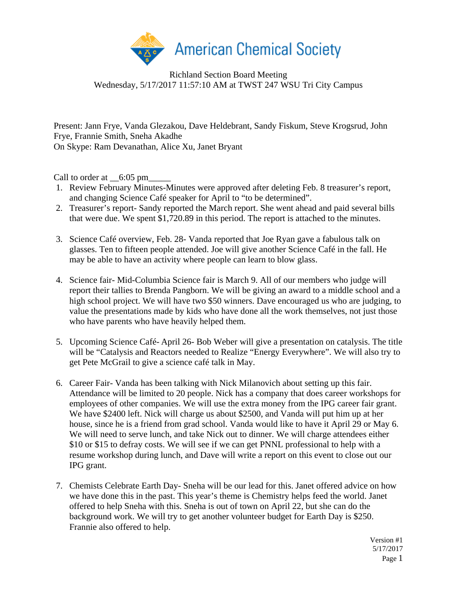

Richland Section Board Meeting Wednesday, 5/17/2017 11:57:10 AM at TWST 247 WSU Tri City Campus

Present: Jann Frye, Vanda Glezakou, Dave Heldebrant, Sandy Fiskum, Steve Krogsrud, John Frye, Frannie Smith, Sneha Akadhe On Skype: Ram Devanathan, Alice Xu, Janet Bryant

Call to order at  $\_6:05$  pm

- 1. Review February Minutes-Minutes were approved after deleting Feb. 8 treasurer's report, and changing Science Café speaker for April to "to be determined".
- 2. Treasurer's report- Sandy reported the March report. She went ahead and paid several bills that were due. We spent \$1,720.89 in this period. The report is attached to the minutes.
- 3. Science Café overview, Feb. 28- Vanda reported that Joe Ryan gave a fabulous talk on glasses. Ten to fifteen people attended. Joe will give another Science Café in the fall. He may be able to have an activity where people can learn to blow glass.
- 4. Science fair- Mid-Columbia Science fair is March 9. All of our members who judge will report their tallies to Brenda Pangborn. We will be giving an award to a middle school and a high school project. We will have two \$50 winners. Dave encouraged us who are judging, to value the presentations made by kids who have done all the work themselves, not just those who have parents who have heavily helped them.
- 5. Upcoming Science Café- April 26- Bob Weber will give a presentation on catalysis. The title will be "Catalysis and Reactors needed to Realize "Energy Everywhere". We will also try to get Pete McGrail to give a science café talk in May.
- 6. Career Fair- Vanda has been talking with Nick Milanovich about setting up this fair. Attendance will be limited to 20 people. Nick has a company that does career workshops for employees of other companies. We will use the extra money from the IPG career fair grant. We have \$2400 left. Nick will charge us about \$2500, and Vanda will put him up at her house, since he is a friend from grad school. Vanda would like to have it April 29 or May 6. We will need to serve lunch, and take Nick out to dinner. We will charge attendees either \$10 or \$15 to defray costs. We will see if we can get PNNL professional to help with a resume workshop during lunch, and Dave will write a report on this event to close out our IPG grant.
- 7. Chemists Celebrate Earth Day- Sneha will be our lead for this. Janet offered advice on how we have done this in the past. This year's theme is Chemistry helps feed the world. Janet offered to help Sneha with this. Sneha is out of town on April 22, but she can do the background work. We will try to get another volunteer budget for Earth Day is \$250. Frannie also offered to help.

Version #1 5/17/2017 Page 1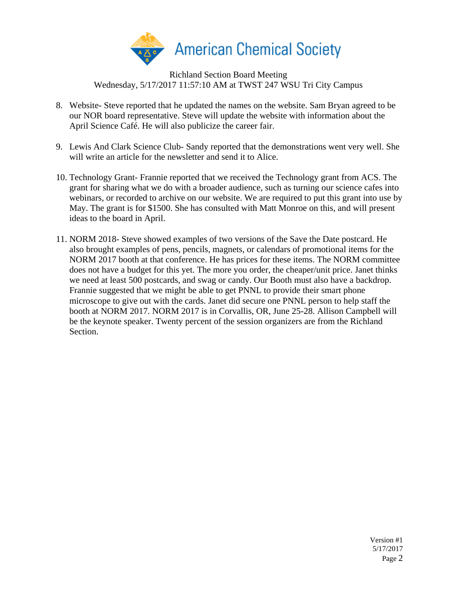

Richland Section Board Meeting Wednesday, 5/17/2017 11:57:10 AM at TWST 247 WSU Tri City Campus

- 8. Website- Steve reported that he updated the names on the website. Sam Bryan agreed to be our NOR board representative. Steve will update the website with information about the April Science Café. He will also publicize the career fair.
- 9. Lewis And Clark Science Club- Sandy reported that the demonstrations went very well. She will write an article for the newsletter and send it to Alice.
- 10. Technology Grant- Frannie reported that we received the Technology grant from ACS. The grant for sharing what we do with a broader audience, such as turning our science cafes into webinars, or recorded to archive on our website. We are required to put this grant into use by May. The grant is for \$1500. She has consulted with Matt Monroe on this, and will present ideas to the board in April.
- 11. NORM 2018- Steve showed examples of two versions of the Save the Date postcard. He also brought examples of pens, pencils, magnets, or calendars of promotional items for the NORM 2017 booth at that conference. He has prices for these items. The NORM committee does not have a budget for this yet. The more you order, the cheaper/unit price. Janet thinks we need at least 500 postcards, and swag or candy. Our Booth must also have a backdrop. Frannie suggested that we might be able to get PNNL to provide their smart phone microscope to give out with the cards. Janet did secure one PNNL person to help staff the booth at NORM 2017. NORM 2017 is in Corvallis, OR, June 25-28. Allison Campbell will be the keynote speaker. Twenty percent of the session organizers are from the Richland Section.